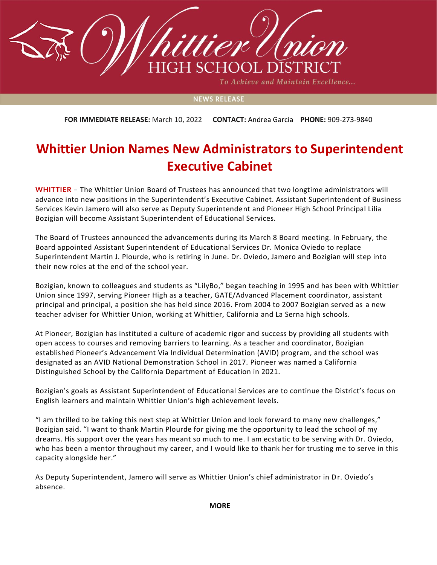

To Achieve and Maintain Excellence...

## **NEWS RELEASE**

**FOR IMMEDIATE RELEASE:** March 10, 2022 **CONTACT:** Andrea Garcia **PHONE:** 909-273-9840

## **Whittier Union Names New Administrators to Superintendent Executive Cabinet**

**WHITTIER** – The Whittier Union Board of Trustees has announced that two longtime administrators will advance into new positions in the Superintendent's Executive Cabinet. Assistant Superintendent of Business Services Kevin Jamero will also serve as Deputy Superintendent and Pioneer High School Principal Lilia Bozigian will become Assistant Superintendent of Educational Services.

The Board of Trustees announced the advancements during its March 8 Board meeting. In February, the Board appointed Assistant Superintendent of Educational Services Dr. Monica Oviedo to replace Superintendent Martin J. Plourde, who is retiring in June. Dr. Oviedo, Jamero and Bozigian will step into their new roles at the end of the school year.

Bozigian, known to colleagues and students as "LilyBo," began teaching in 1995 and has been with Whittier Union since 1997, serving Pioneer High as a teacher, GATE/Advanced Placement coordinator, assistant principal and principal, a position she has held since 2016. From 2004 to 2007 Bozigian served as a new teacher adviser for Whittier Union, working at Whittier, California and La Serna high schools.

At Pioneer, Bozigian has instituted a culture of academic rigor and success by providing all students with open access to courses and removing barriers to learning. As a teacher and coordinator, Bozigian established Pioneer's Advancement Via Individual Determination (AVID) program, and the school was designated as an AVID National Demonstration School in 2017. Pioneer was named a California Distinguished School by the California Department of Education in 2021.

Bozigian's goals as Assistant Superintendent of Educational Services are to continue the District's focus on English learners and maintain Whittier Union's high achievement levels.

"I am thrilled to be taking this next step at Whittier Union and look forward to many new challenges," Bozigian said. "I want to thank Martin Plourde for giving me the opportunity to lead the school of my dreams. His support over the years has meant so much to me. I am ecstatic to be serving with Dr. Oviedo, who has been a mentor throughout my career, and I would like to thank her for trusting me to serve in this capacity alongside her."

As Deputy Superintendent, Jamero will serve as Whittier Union's chief administrator in Dr. Oviedo's absence.